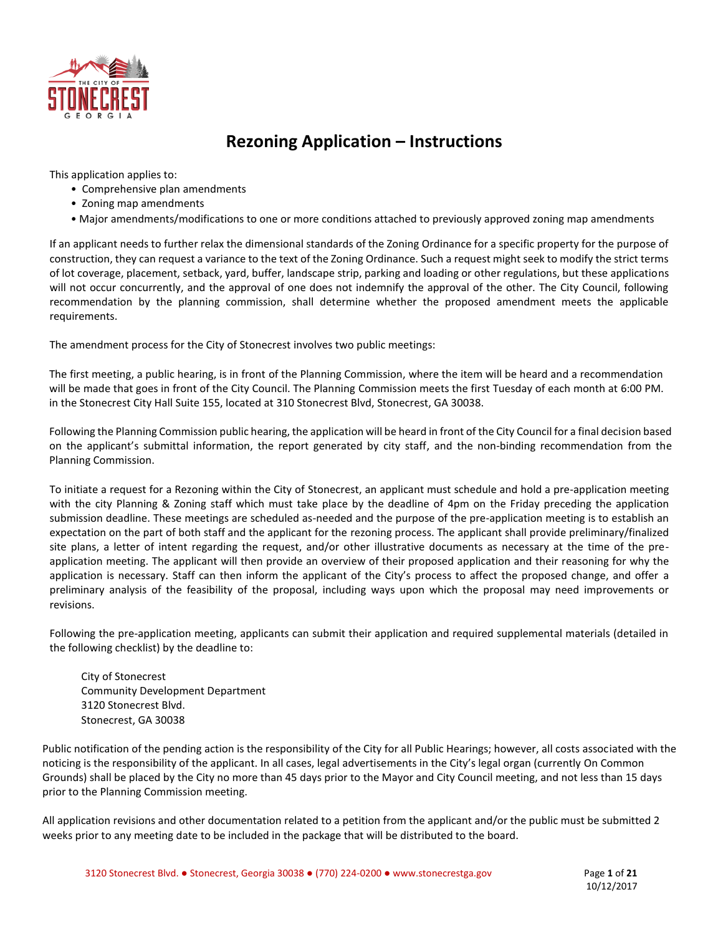

### **Rezoning Application – Instructions**

This application applies to:

- Comprehensive plan amendments
- Zoning map amendments
- Major amendments/modifications to one or more conditions attached to previously approved zoning map amendments

If an applicant needs to further relax the dimensional standards of the Zoning Ordinance for a specific property for the purpose of construction, they can request a variance to the text of the Zoning Ordinance. Such a request might seek to modify the strict terms of lot coverage, placement, setback, yard, buffer, landscape strip, parking and loading or other regulations, but these applications will not occur concurrently, and the approval of one does not indemnify the approval of the other. The City Council, following recommendation by the planning commission, shall determine whether the proposed amendment meets the applicable requirements.

The amendment process for the City of Stonecrest involves two public meetings:

The first meeting, a public hearing, is in front of the Planning Commission, where the item will be heard and a recommendation will be made that goes in front of the City Council. The Planning Commission meets the first Tuesday of each month at 6:00 PM. in the Stonecrest City Hall Suite 155, located at 310 Stonecrest Blvd, Stonecrest, GA 30038.

Following the Planning Commission public hearing, the application will be heard in front of the City Council for a final decision based on the applicant's submittal information, the report generated by city staff, and the non-binding recommendation from the Planning Commission.

To initiate a request for a Rezoning within the City of Stonecrest, an applicant must schedule and hold a pre-application meeting with the city Planning & Zoning staff which must take place by the deadline of 4pm on the Friday preceding the application submission deadline. These meetings are scheduled as-needed and the purpose of the pre-application meeting is to establish an expectation on the part of both staff and the applicant for the rezoning process. The applicant shall provide preliminary/finalized site plans, a letter of intent regarding the request, and/or other illustrative documents as necessary at the time of the preapplication meeting. The applicant will then provide an overview of their proposed application and their reasoning for why the application is necessary. Staff can then inform the applicant of the City's process to affect the proposed change, and offer a preliminary analysis of the feasibility of the proposal, including ways upon which the proposal may need improvements or revisions.

Following the pre-application meeting, applicants can submit their application and required supplemental materials (detailed in the following checklist) by the deadline to:

City of Stonecrest Community Development Department 3120 Stonecrest Blvd. Stonecrest, GA 30038

Public notification of the pending action is the responsibility of the City for all Public Hearings; however, all costs associated with the noticing is the responsibility of the applicant. In all cases, legal advertisements in the City's legal organ (currently On Common Grounds) shall be placed by the City no more than 45 days prior to the Mayor and City Council meeting, and not less than 15 days prior to the Planning Commission meeting.

All application revisions and other documentation related to a petition from the applicant and/or the public must be submitted 2 weeks prior to any meeting date to be included in the package that will be distributed to the board.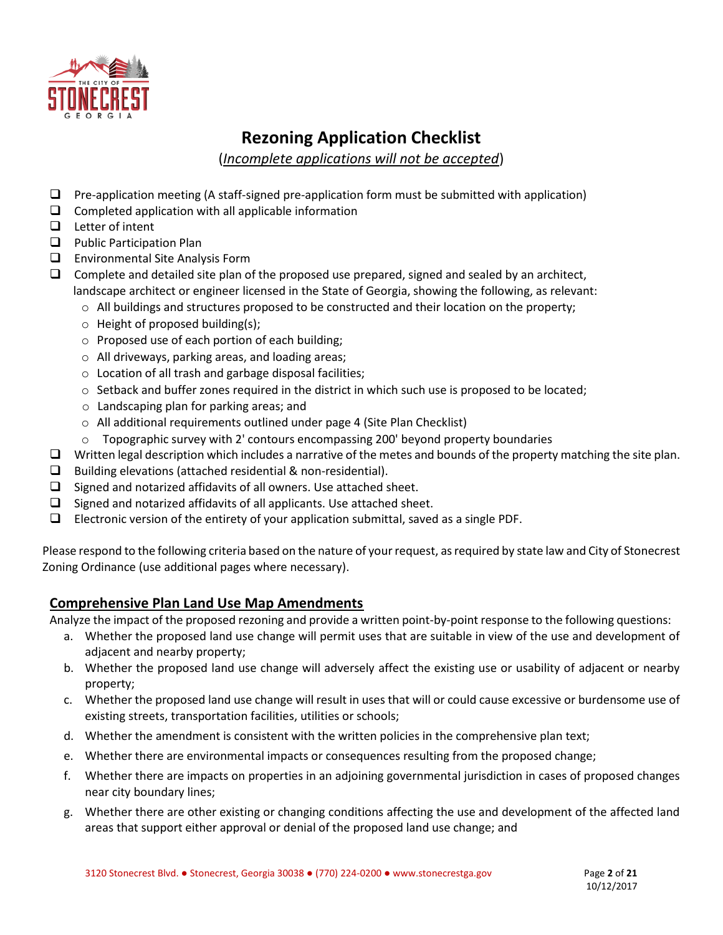

### **Rezoning Application Checklist**

(*Incomplete applications will not be accepted*)

- ❑ Pre-application meeting (A staff-signed pre-application form must be submitted with application)
- $\Box$  Completed application with all applicable information
- ❑ Letter of intent
- ❑ Public Participation Plan
- ❑ Environmental Site Analysis Form
- $\Box$  Complete and detailed site plan of the proposed use prepared, signed and sealed by an architect, landscape architect or engineer licensed in the State of Georgia, showing the following, as relevant:
	- $\circ$  All buildings and structures proposed to be constructed and their location on the property;
	- o Height of proposed building(s);
	- o Proposed use of each portion of each building;
	- o All driveways, parking areas, and loading areas;
	- o Location of all trash and garbage disposal facilities;
	- o Setback and buffer zones required in the district in which such use is proposed to be located;
	- o Landscaping plan for parking areas; and
	- o All additional requirements outlined under page 4 (Site Plan Checklist)
	- $\circ$  Topographic survey with 2' contours encompassing 200' beyond property boundaries
- $\Box$  Written legal description which includes a narrative of the metes and bounds of the property matching the site plan.
- ❑ Building elevations (attached residential & non-residential).
- ❑ Signed and notarized affidavits of all owners. Use attached sheet.
- ❑ Signed and notarized affidavits of all applicants. Use attached sheet.
- $\Box$  Electronic version of the entirety of your application submittal, saved as a single PDF.

Please respond to the following criteria based on the nature of your request, as required by state law and City of Stonecrest Zoning Ordinance (use additional pages where necessary).

### **Comprehensive Plan Land Use Map Amendments**

Analyze the impact of the proposed rezoning and provide a written point-by-point response to the following questions:

- a. Whether the proposed land use change will permit uses that are suitable in view of the use and development of adjacent and nearby property;
- b. Whether the proposed land use change will adversely affect the existing use or usability of adjacent or nearby property;
- c. Whether the proposed land use change will result in uses that will or could cause excessive or burdensome use of existing streets, transportation facilities, utilities or schools;
- d. Whether the amendment is consistent with the written policies in the comprehensive plan text;
- e. Whether there are environmental impacts or consequences resulting from the proposed change;
- f. Whether there are impacts on properties in an adjoining governmental jurisdiction in cases of proposed changes near city boundary lines;
- g. Whether there are other existing or changing conditions affecting the use and development of the affected land areas that support either approval or denial of the proposed land use change; and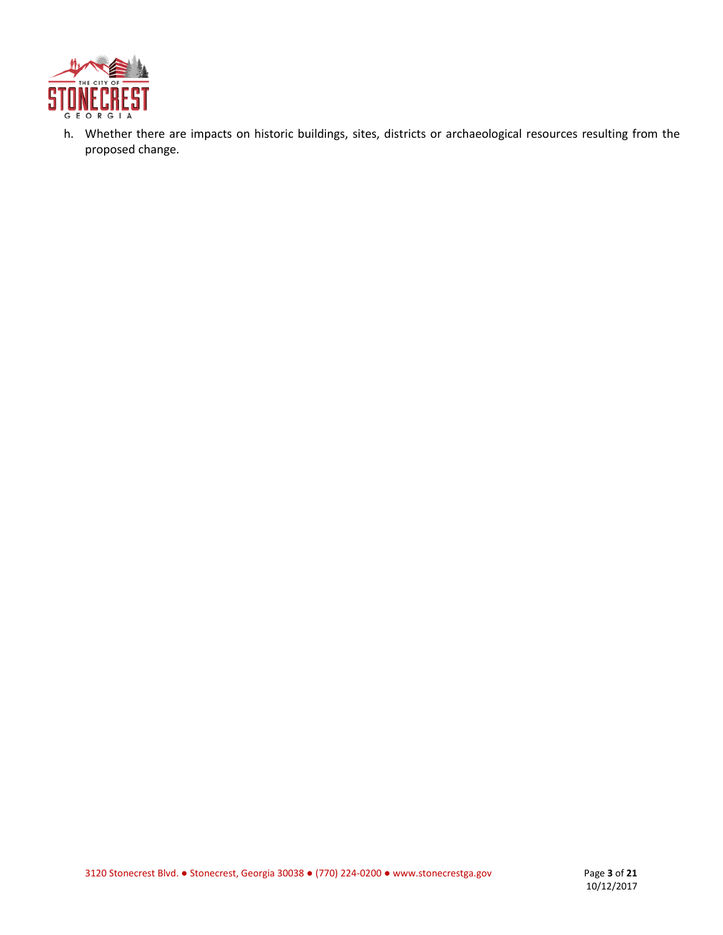

h. Whether there are impacts on historic buildings, sites, districts or archaeological resources resulting from the proposed change.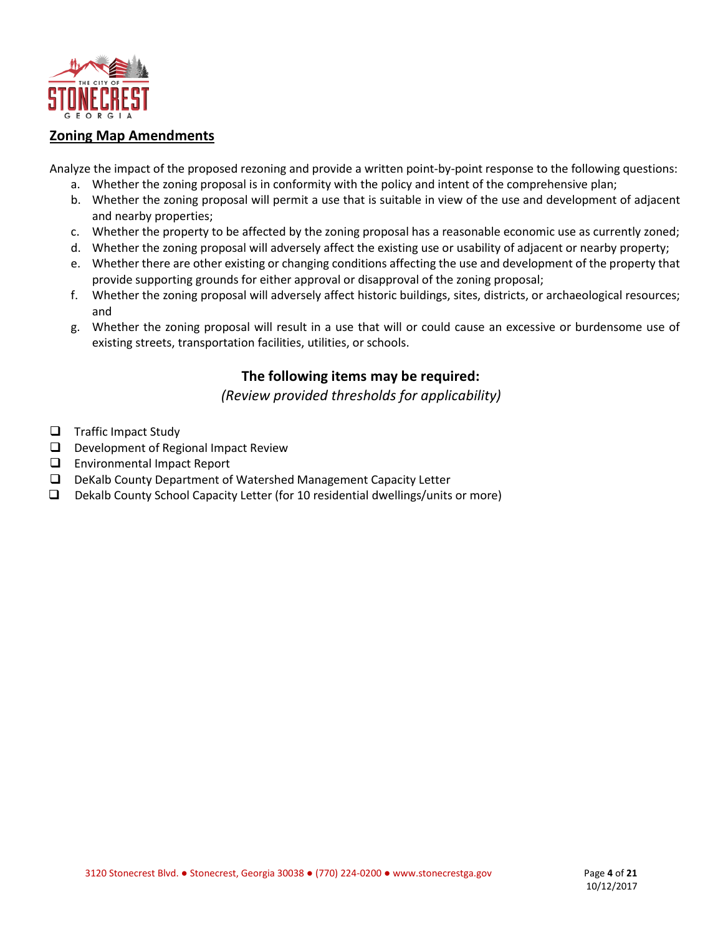

#### **Zoning Map Amendments**

Analyze the impact of the proposed rezoning and provide a written point-by-point response to the following questions:

- a. Whether the zoning proposal is in conformity with the policy and intent of the comprehensive plan;
- b. Whether the zoning proposal will permit a use that is suitable in view of the use and development of adjacent and nearby properties;
- c. Whether the property to be affected by the zoning proposal has a reasonable economic use as currently zoned;
- d. Whether the zoning proposal will adversely affect the existing use or usability of adjacent or nearby property;
- e. Whether there are other existing or changing conditions affecting the use and development of the property that provide supporting grounds for either approval or disapproval of the zoning proposal;
- f. Whether the zoning proposal will adversely affect historic buildings, sites, districts, or archaeological resources; and
- g. Whether the zoning proposal will result in a use that will or could cause an excessive or burdensome use of existing streets, transportation facilities, utilities, or schools.

### **The following items may be required:**

*(Review provided thresholds for applicability)*

- ❑ Traffic Impact Study
- ❑ Development of Regional Impact Review
- ❑ Environmental Impact Report
- ❑ DeKalb County Department of Watershed Management Capacity Letter
- ❑ Dekalb County School Capacity Letter (for 10 residential dwellings/units or more)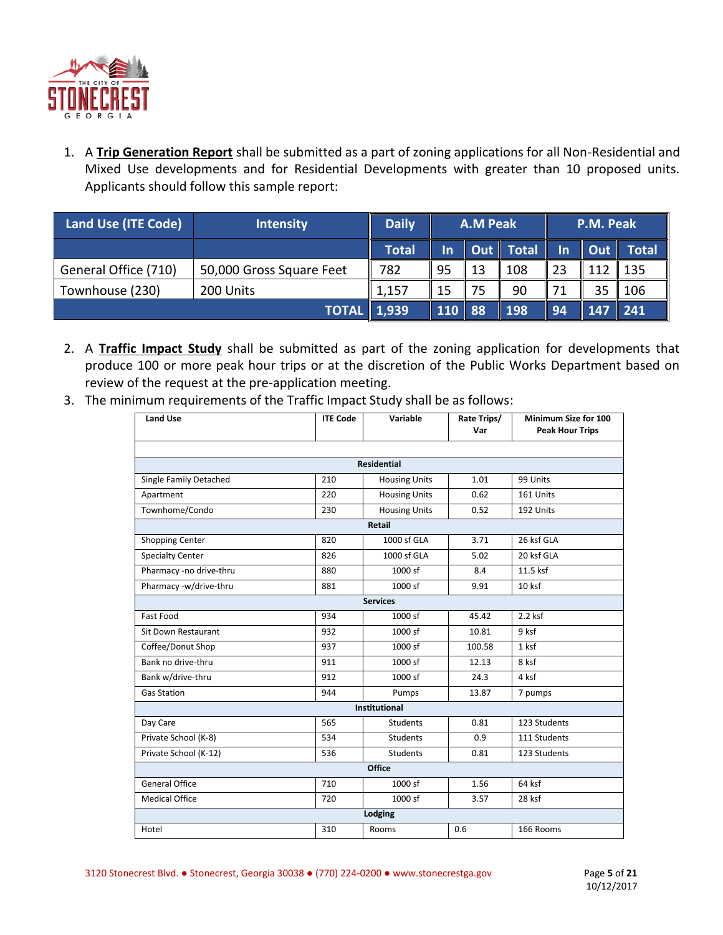

1. A **Trip Generation Report** shall be submitted as a part of zoning applications for all Non-Residential and Mixed Use developments and for Residential Developments with greater than 10 proposed units. Applicants should follow this sample report:

| <b>Land Use (ITE Code)</b> | <b>Intensity</b>         | <b>Daily</b> |            | <b>A.M Peak</b> |             |    | P.M. Peak |                  |
|----------------------------|--------------------------|--------------|------------|-----------------|-------------|----|-----------|------------------|
|                            |                          | <b>Total</b> | In.        |                 | Out   Total | In |           | Out   Total      |
| General Office (710)       | 50,000 Gross Square Feet | 782          | 95         | 13              | 108         | 23 | 112       | ll 135           |
| Townhouse (230)            | 200 Units                | 1,157        | 15         | 75              | 90          |    | 35        | 106              |
|                            | <b>TOTAL</b> 1,939       |              | <b>110</b> | 88              | 198         | 94 | 147       | $\overline{241}$ |

- 2. A **Traffic Impact Study** shall be submitted as part of the zoning application for developments that produce 100 or more peak hour trips or at the discretion of the Public Works Department based on review of the request at the pre-application meeting.
- 3. The minimum requirements of the Traffic Impact Study shall be as follows:

| <b>Land Use</b>            | <b>ITE Code</b> | Variable             | Rate Trips/<br>Var | Minimum Size for 100<br><b>Peak Hour Trips</b> |
|----------------------------|-----------------|----------------------|--------------------|------------------------------------------------|
|                            |                 |                      |                    |                                                |
|                            |                 | <b>Residential</b>   |                    |                                                |
| Single Family Detached     | 210             | <b>Housing Units</b> | 1.01               | 99 Units                                       |
| Apartment                  | 220             | <b>Housing Units</b> | 0.62               | 161 Units                                      |
| Townhome/Condo             | 230             | <b>Housing Units</b> | 0.52               | 192 Units                                      |
|                            |                 | <b>Retail</b>        |                    |                                                |
| <b>Shopping Center</b>     | 820             | 1000 sf GLA          | 3.71               | 26 ksf GLA                                     |
| <b>Specialty Center</b>    | 826             | 1000 sf GLA          | 5.02               | 20 ksf GLA                                     |
| Pharmacy -no drive-thru    | 880             | 1000 sf              | 8.4                | 11.5 ksf                                       |
| Pharmacy -w/drive-thru     | 881             | 1000 sf              | 9.91               | 10 ksf                                         |
|                            |                 | <b>Services</b>      |                    |                                                |
| Fast Food                  | 934             | 1000 sf              | 45.42              | $2.2$ ksf                                      |
| <b>Sit Down Restaurant</b> | 932             | 1000 sf              | 10.81              | 9 ksf                                          |
| Coffee/Donut Shop          | 937             | 1000 sf              | 100.58             | 1 ksf                                          |
| Bank no drive-thru         | 911             | 1000 sf              | 12.13              | 8 ksf                                          |
| Bank w/drive-thru          | 912             | 1000 sf              | 24.3               | 4 ksf                                          |
| <b>Gas Station</b>         | 944             | Pumps                | 13.87              | 7 pumps                                        |
|                            |                 | Institutional        |                    |                                                |
| Day Care                   | 565             | <b>Students</b>      | 0.81               | 123 Students                                   |
| Private School (K-8)       | 534             | Students             | 0.9                | 111 Students                                   |
| Private School (K-12)      | 536             | Students             | 0.81               | 123 Students                                   |
|                            |                 | Office               |                    |                                                |
| <b>General Office</b>      | 710             | 1000 sf              | 1.56               | 64 ksf                                         |
| <b>Medical Office</b>      | 720             | 1000 sf              | 3.57               | 28 ksf                                         |
|                            |                 | Lodging              |                    |                                                |
| Hotel                      | 310             | Rooms                | 0.6                | 166 Rooms                                      |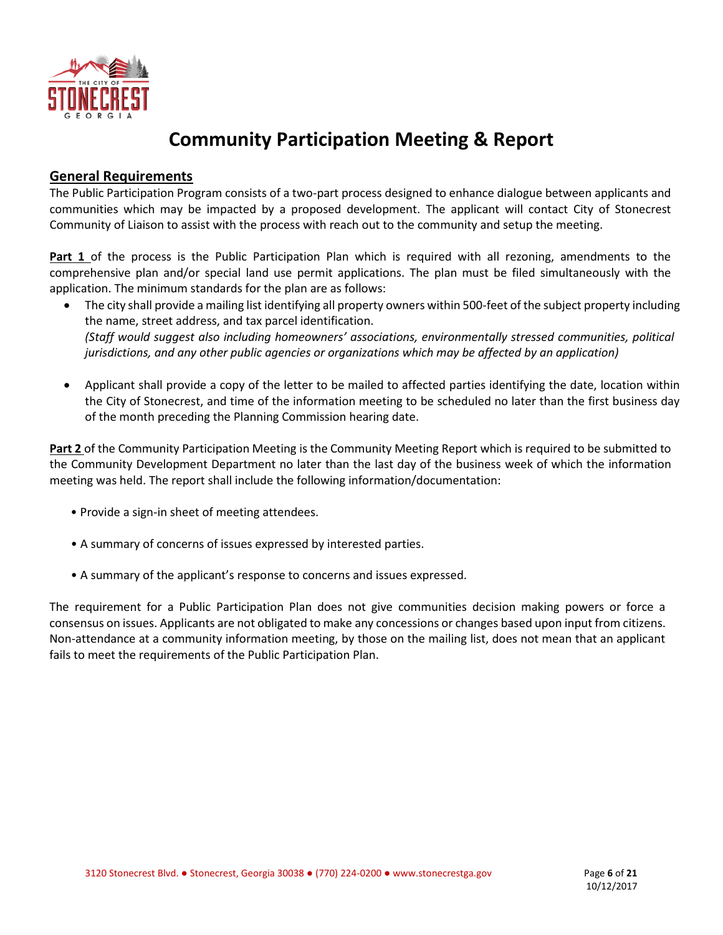

# **Community Participation Meeting & Report**

#### **General Requirements**

The Public Participation Program consists of a two-part process designed to enhance dialogue between applicants and communities which may be impacted by a proposed development. The applicant will contact City of Stonecrest Community of Liaison to assist with the process with reach out to the community and setup the meeting.

**Part 1** of the process is the Public Participation Plan which is required with all rezoning, amendments to the comprehensive plan and/or special land use permit applications. The plan must be filed simultaneously with the application. The minimum standards for the plan are as follows:

- The city shall provide a mailing list identifying all property owners within 500-feet of the subject property including the name, street address, and tax parcel identification. *(Staff would suggest also including homeowners' associations, environmentally stressed communities, political jurisdictions, and any other public agencies or organizations which may be affected by an application)*
- Applicant shall provide a copy of the letter to be mailed to affected parties identifying the date, location within the City of Stonecrest, and time of the information meeting to be scheduled no later than the first business day of the month preceding the Planning Commission hearing date.

**Part 2** of the Community Participation Meeting is the Community Meeting Report which is required to be submitted to the Community Development Department no later than the last day of the business week of which the information meeting was held. The report shall include the following information/documentation:

- Provide a sign-in sheet of meeting attendees.
- A summary of concerns of issues expressed by interested parties.
- A summary of the applicant's response to concerns and issues expressed.

The requirement for a Public Participation Plan does not give communities decision making powers or force a consensus on issues. Applicants are not obligated to make any concessions or changes based upon input from citizens. Non-attendance at a community information meeting, by those on the mailing list, does not mean that an applicant fails to meet the requirements of the Public Participation Plan.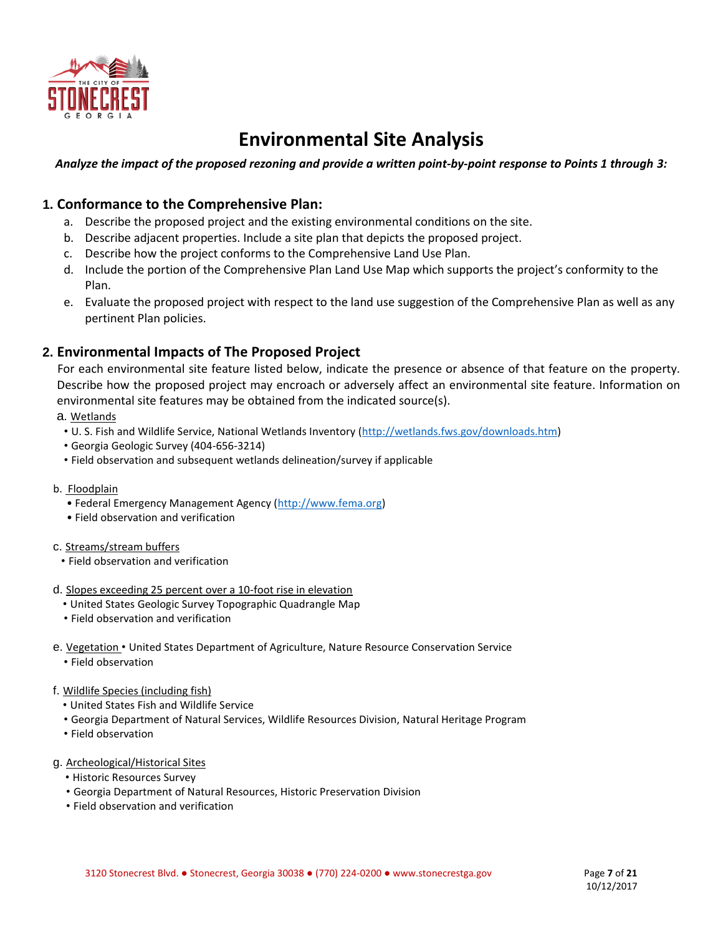

# **Environmental Site Analysis**

*Analyze the impact of the proposed rezoning and provide a written point-by-point response to Points 1 through 3:*

### **1. Conformance to the Comprehensive Plan:**

- a. Describe the proposed project and the existing environmental conditions on the site.
- b. Describe adjacent properties. Include a site plan that depicts the proposed project.
- c. Describe how the project conforms to the Comprehensive Land Use Plan.
- d. Include the portion of the Comprehensive Plan Land Use Map which supports the project's conformity to the Plan.
- e. Evaluate the proposed project with respect to the land use suggestion of the Comprehensive Plan as well as any pertinent Plan policies.

### **2. Environmental Impacts of The Proposed Project**

 For each environmental site feature listed below, indicate the presence or absence of that feature on the property. Describe how the proposed project may encroach or adversely affect an environmental site feature. Information on environmental site features may be obtained from the indicated source(s).

a. Wetlands

- U. S. Fish and Wildlife Service, National Wetlands Inventory [\(http://wetlands.fws.gov/downloads.htm\)](http://wetlands.fws.gov/downloads.htm)
- Georgia Geologic Survey (404-656-3214)
- Field observation and subsequent wetlands delineation/survey if applicable
- b. Floodplain
	- Federal Emergency Management Agency ([http://www.fema.org\)](http://www.fema.org/)
	- Field observation and verification
- c. Streams/stream buffers
	- Field observation and verification

#### d. Slopes exceeding 25 percent over a 10-foot rise in elevation

- United States Geologic Survey Topographic Quadrangle Map
- Field observation and verification
- e. Vegetation . United States Department of Agriculture, Nature Resource Conservation Service • Field observation
	-
- f. Wildlife Species (including fish)
	- United States Fish and Wildlife Service
	- Georgia Department of Natural Services, Wildlife Resources Division, Natural Heritage Program
	- Field observation
- g. Archeological/Historical Sites
	- Historic Resources Survey
	- Georgia Department of Natural Resources, Historic Preservation Division
	- Field observation and verification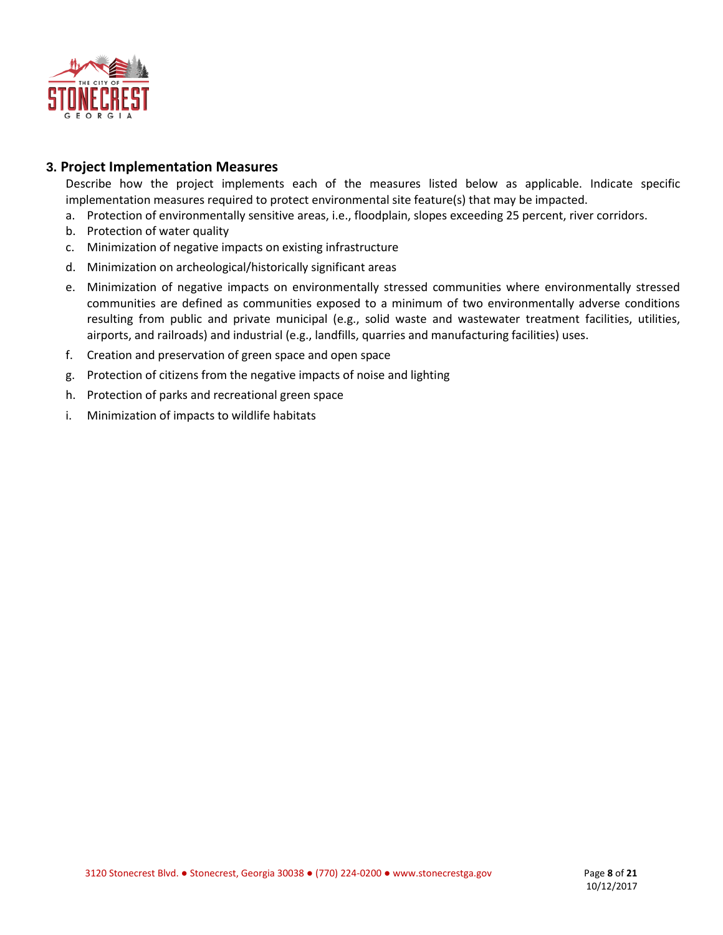

#### **3. Project Implementation Measures**

Describe how the project implements each of the measures listed below as applicable. Indicate specific implementation measures required to protect environmental site feature(s) that may be impacted.

- a. Protection of environmentally sensitive areas, i.e., floodplain, slopes exceeding 25 percent, river corridors.
- b. Protection of water quality
- c. Minimization of negative impacts on existing infrastructure
- d. Minimization on archeological/historically significant areas
- e. Minimization of negative impacts on environmentally stressed communities where environmentally stressed communities are defined as communities exposed to a minimum of two environmentally adverse conditions resulting from public and private municipal (e.g., solid waste and wastewater treatment facilities, utilities, airports, and railroads) and industrial (e.g., landfills, quarries and manufacturing facilities) uses.
- f. Creation and preservation of green space and open space
- g. Protection of citizens from the negative impacts of noise and lighting
- h. Protection of parks and recreational green space
- i. Minimization of impacts to wildlife habitats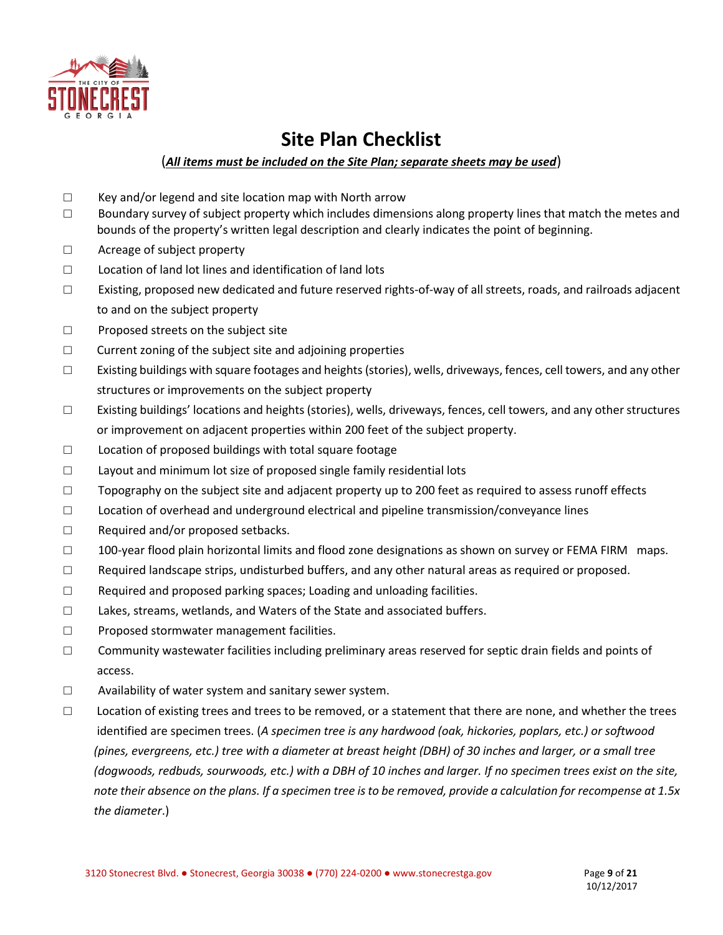

# **Site Plan Checklist**

#### (*All items must be included on the Site Plan; separate sheets may be used*)

- $\Box$  Key and/or legend and site location map with North arrow
- □ Boundary survey of subject property which includes dimensions along property lines that match the metes and bounds of the property's written legal description and clearly indicates the point of beginning.
- □ Acreage of subject property
- $\Box$  Location of land lot lines and identification of land lots
- $\square$  Existing, proposed new dedicated and future reserved rights-of-way of all streets, roads, and railroads adjacent to and on the subject property
- □ Proposed streets on the subject site
- □ Current zoning of the subject site and adjoining properties
- $\square$  Existing buildings with square footages and heights (stories), wells, driveways, fences, cell towers, and any other structures or improvements on the subject property
- $\square$  Existing buildings' locations and heights (stories), wells, driveways, fences, cell towers, and any other structures or improvement on adjacent properties within 200 feet of the subject property.
- □ Location of proposed buildings with total square footage
- $\Box$  Layout and minimum lot size of proposed single family residential lots
- $\Box$  Topography on the subject site and adjacent property up to 200 feet as required to assess runoff effects
- $\Box$  Location of overhead and underground electrical and pipeline transmission/conveyance lines
- □ Required and/or proposed setbacks.
- $\square$  100-year flood plain horizontal limits and flood zone designations as shown on survey or FEMA FIRM maps.
- $\Box$  Required landscape strips, undisturbed buffers, and any other natural areas as required or proposed.
- □ Required and proposed parking spaces; Loading and unloading facilities.
- □ Lakes, streams, wetlands, and Waters of the State and associated buffers.
- □ Proposed stormwater management facilities.
- $\Box$  Community wastewater facilities including preliminary areas reserved for septic drain fields and points of access.
- □ Availability of water system and sanitary sewer system.
- $\Box$  Location of existing trees and trees to be removed, or a statement that there are none, and whether the trees identified are specimen trees. (*A specimen tree is any hardwood (oak, hickories, poplars, etc.) or softwood (pines, evergreens, etc.) tree with a diameter at breast height (DBH) of 30 inches and larger, or a small tree (dogwoods, redbuds, sourwoods, etc.) with a DBH of 10 inches and larger. If no specimen trees exist on the site, note their absence on the plans. If a specimen tree is to be removed, provide a calculation for recompense at 1.5x the diameter*.)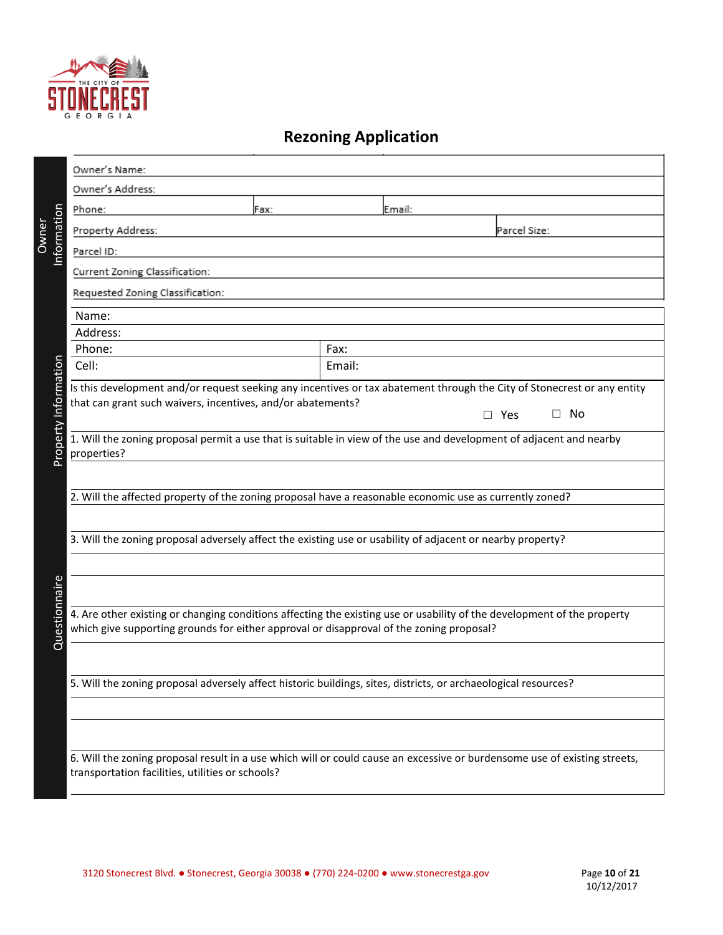

Owner

### **Rezoning Application**

| Owner's Name:                                                                                                                                                                                                       |                                                                                                                                                    |  |  |
|---------------------------------------------------------------------------------------------------------------------------------------------------------------------------------------------------------------------|----------------------------------------------------------------------------------------------------------------------------------------------------|--|--|
| Owner's Address:                                                                                                                                                                                                    |                                                                                                                                                    |  |  |
| Fax:<br>Phone:                                                                                                                                                                                                      | Email:                                                                                                                                             |  |  |
| Property Address:                                                                                                                                                                                                   | Parcel Size:                                                                                                                                       |  |  |
| Parcel ID:                                                                                                                                                                                                          |                                                                                                                                                    |  |  |
| Current Zoning Classification:                                                                                                                                                                                      |                                                                                                                                                    |  |  |
| Requested Zoning Classification:                                                                                                                                                                                    |                                                                                                                                                    |  |  |
| Name:                                                                                                                                                                                                               |                                                                                                                                                    |  |  |
| Address:                                                                                                                                                                                                            |                                                                                                                                                    |  |  |
| Phone:                                                                                                                                                                                                              | Fax:                                                                                                                                               |  |  |
| Cell:                                                                                                                                                                                                               | Email:                                                                                                                                             |  |  |
| that can grant such waivers, incentives, and/or abatements?                                                                                                                                                         | Is this development and/or request seeking any incentives or tax abatement through the City of Stonecrest or any entity<br>$\Box$ No<br>$\Box$ Yes |  |  |
| properties?                                                                                                                                                                                                         | 1. Will the zoning proposal permit a use that is suitable in view of the use and development of adjacent and nearby                                |  |  |
| 2. Will the affected property of the zoning proposal have a reasonable economic use as currently zoned?                                                                                                             |                                                                                                                                                    |  |  |
| 3. Will the zoning proposal adversely affect the existing use or usability of adjacent or nearby property?                                                                                                          |                                                                                                                                                    |  |  |
|                                                                                                                                                                                                                     |                                                                                                                                                    |  |  |
| 4. Are other existing or changing conditions affecting the existing use or usability of the development of the property<br>which give supporting grounds for either approval or disapproval of the zoning proposal? |                                                                                                                                                    |  |  |
|                                                                                                                                                                                                                     | 5. Will the zoning proposal adversely affect historic buildings, sites, districts, or archaeological resources?                                    |  |  |
| transportation facilities, utilities or schools?                                                                                                                                                                    | 6. Will the zoning proposal result in a use which will or could cause an excessive or burdensome use of existing streets,                          |  |  |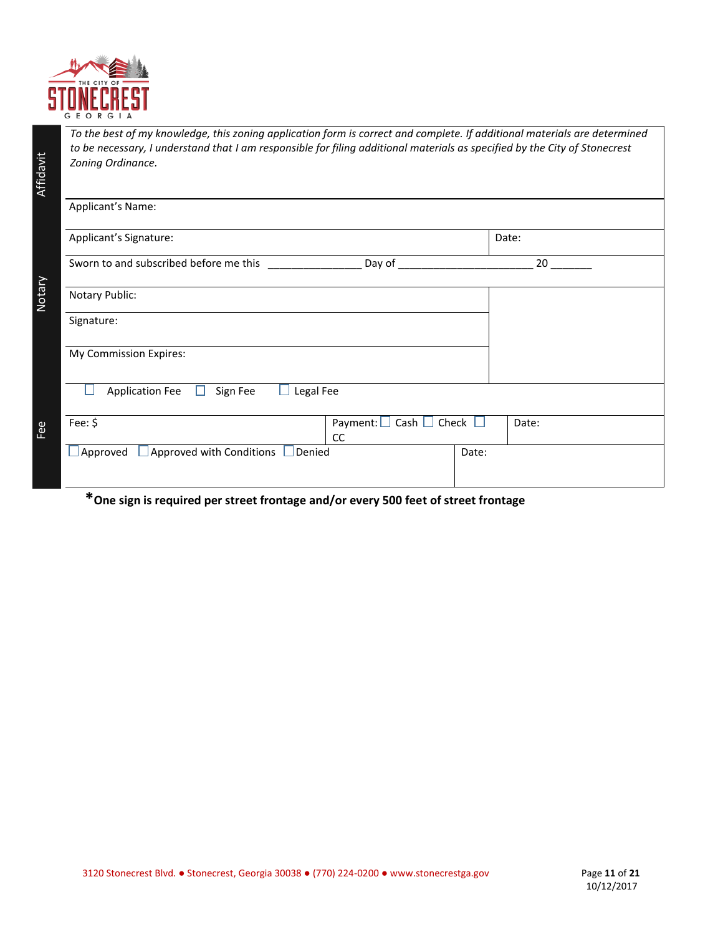

| To the best of my knowledge, this zoning application form is correct and complete. If additional materials are determined<br>to be necessary, I understand that I am responsible for filing additional materials as specified by the City of Stonecrest<br>Affidavit<br>Zoning Ordinance. |                                                           |       |
|-------------------------------------------------------------------------------------------------------------------------------------------------------------------------------------------------------------------------------------------------------------------------------------------|-----------------------------------------------------------|-------|
| Applicant's Name:                                                                                                                                                                                                                                                                         |                                                           |       |
| Applicant's Signature:                                                                                                                                                                                                                                                                    |                                                           | Date: |
| Sworn to and subscribed before me this                                                                                                                                                                                                                                                    | Day of                                                    | 20    |
| Notary<br>Notary Public:                                                                                                                                                                                                                                                                  |                                                           |       |
| Signature:                                                                                                                                                                                                                                                                                |                                                           |       |
| My Commission Expires:                                                                                                                                                                                                                                                                    |                                                           |       |
| <b>Application Fee</b><br>Sign Fee<br>H<br>$\Box$                                                                                                                                                                                                                                         | Legal Fee                                                 |       |
| Fee: \$<br>Fee                                                                                                                                                                                                                                                                            | Payment: $\Box$ Cash $\Box$ Check $\Box$<br><sub>CC</sub> | Date: |
| $\Box$ Approved with Conditions $\Box$ Denied<br>Approved                                                                                                                                                                                                                                 |                                                           | Date: |

**\*One sign is required per street frontage and/or every 500 feet of street frontage**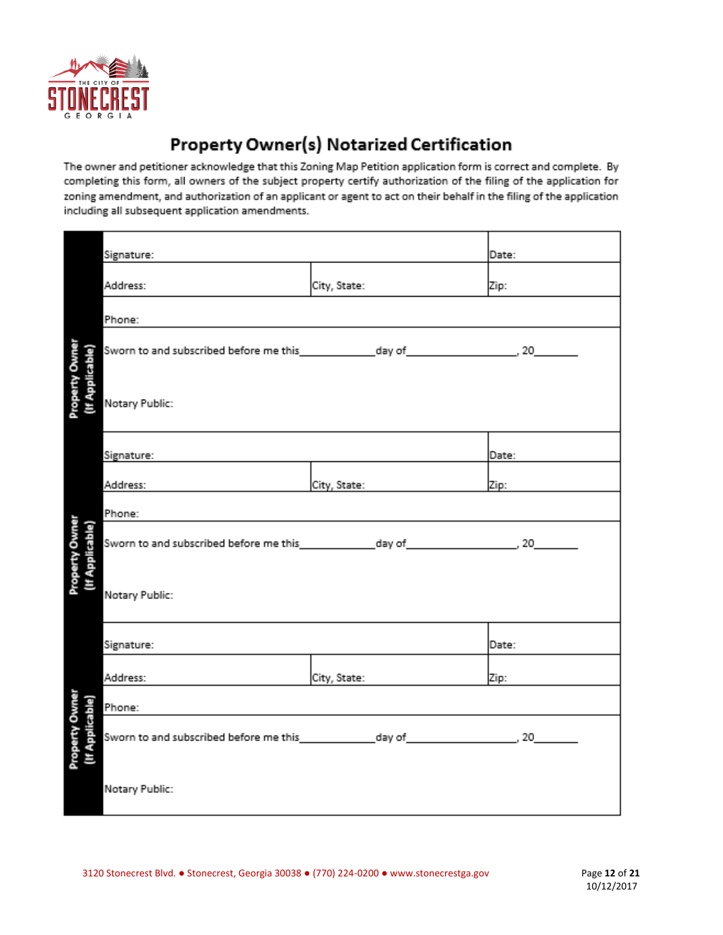

### Property Owner(s) Notarized Certification

The owner and petitioner acknowledge that this Zoning Map Petition application form is correct and complete. By completing this form, all owners of the subject property certify authorization of the filing of the application for zoning amendment, and authorization of an applicant or agent to act on their behalf in the filing of the application including all subsequent application amendments.

|                                   | Signature:     |              | Date: |
|-----------------------------------|----------------|--------------|-------|
|                                   | Address:       | City, State: | Zip:  |
|                                   | Phone:         |              |       |
|                                   |                |              |       |
| Property Owner<br>(If Applicable) | Notary Public: |              |       |
|                                   | Signature:     |              | Date: |
|                                   | Address:       | City, State: | Zip:  |
|                                   | Phone:         |              |       |
|                                   |                |              |       |
| Property Owner<br>(If Applicable) | Notary Public: |              |       |
|                                   | Signature:     |              | Date: |
|                                   | Address:       | City, State: | Zip:  |
|                                   | Phone:         |              |       |
| Property Owner<br>(If Applicable) |                |              |       |
|                                   | Notary Public: |              |       |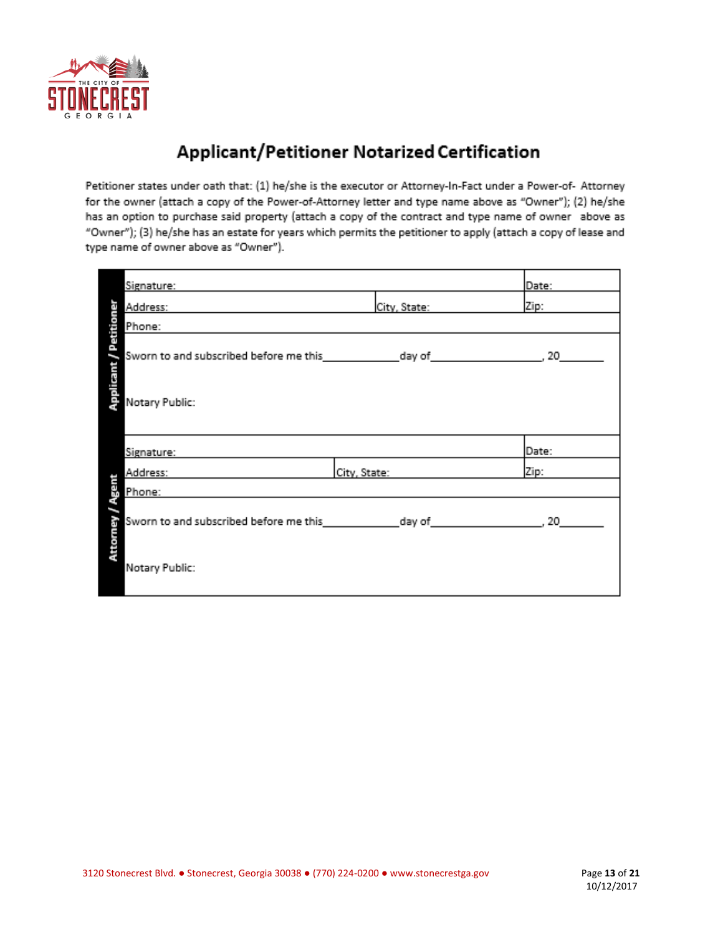

### Applicant/Petitioner Notarized Certification

Petitioner states under oath that: (1) he/she is the executor or Attorney-In-Fact under a Power-of- Attorney for the owner (attach a copy of the Power-of-Attorney letter and type name above as "Owner"); (2) he/she has an option to purchase said property (attach a copy of the contract and type name of owner above as "Owner"); (3) he/she has an estate for years which permits the petitioner to apply (attach a copy of lease and type name of owner above as "Owner").

|                        | Signature:                                                                        |              | Date: |
|------------------------|-----------------------------------------------------------------------------------|--------------|-------|
|                        | Address:                                                                          | City, State: | Zip:  |
|                        | Phone:                                                                            |              |       |
| Applicant / Petitioner | Sworn to and subscribed before me this source and day of                          |              | 20    |
|                        | Notary Public:                                                                    |              |       |
|                        | Signature:                                                                        |              | Date: |
|                        | Address:                                                                          | City, State: | Zip:  |
| / Agent                | Phone:                                                                            |              |       |
| <b>Attorney</b>        | Sworn to and subscribed before me this ______________ day of ____________________ |              | 20    |
|                        | Notary Public:                                                                    |              |       |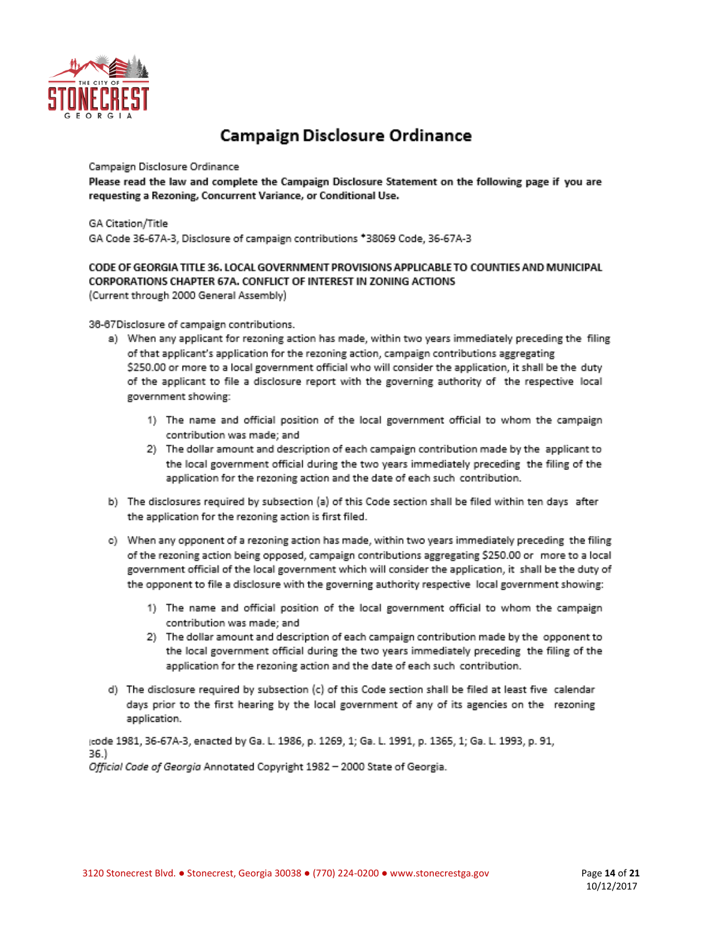

### **Campaign Disclosure Ordinance**

Campaign Disclosure Ordinance

Please read the law and complete the Campaign Disclosure Statement on the following page if you are requesting a Rezoning, Concurrent Variance, or Conditional Use.

GA Citation/Title GA Code 36-67A-3, Disclosure of campaign contributions \*38069 Code, 36-67A-3

#### CODE OF GEORGIA TITLE 36, LOCAL GOVERNMENT PROVISIONS APPLICABLE TO COUNTIES AND MUNICIPAL CORPORATIONS CHAPTER 67A, CONFLICT OF INTEREST IN ZONING ACTIONS (Current through 2000 General Assembly)

36-67Disclosure of campaign contributions.

- a) When any applicant for rezoning action has made, within two years immediately preceding the filing of that applicant's application for the rezoning action, campaign contributions aggregating \$250.00 or more to a local government official who will consider the application, it shall be the duty of the applicant to file a disclosure report with the governing authority of the respective local government showing:
	- 1) The name and official position of the local government official to whom the campaign contribution was made; and
	- 2) The dollar amount and description of each campaign contribution made by the applicant to the local government official during the two years immediately preceding the filing of the application for the rezoning action and the date of each such contribution.
- b) The disclosures required by subsection (a) of this Code section shall be filed within ten days after the application for the rezoning action is first filed.
- c) When any opponent of a rezoning action has made, within two years immediately preceding the filing of the rezoning action being opposed, campaign contributions aggregating \$250.00 or more to a local government official of the local government which will consider the application, it shall be the duty of the opponent to file a disclosure with the governing authority respective local government showing:
	- 1) The name and official position of the local government official to whom the campaign contribution was made; and
	- 2) The dollar amount and description of each campaign contribution made by the opponent to the local government official during the two years immediately preceding the filing of the application for the rezoning action and the date of each such contribution.
- d) The disclosure required by subsection (c) of this Code section shall be filed at least five calendar days prior to the first hearing by the local government of any of its agencies on the rezoning application.

(code 1981, 36-67A-3, enacted by Ga. L. 1986, p. 1269, 1; Ga. L. 1991, p. 1365, 1; Ga. L. 1993, p. 91, 36.)

Official Code of Georgia Annotated Copyright 1982 - 2000 State of Georgia.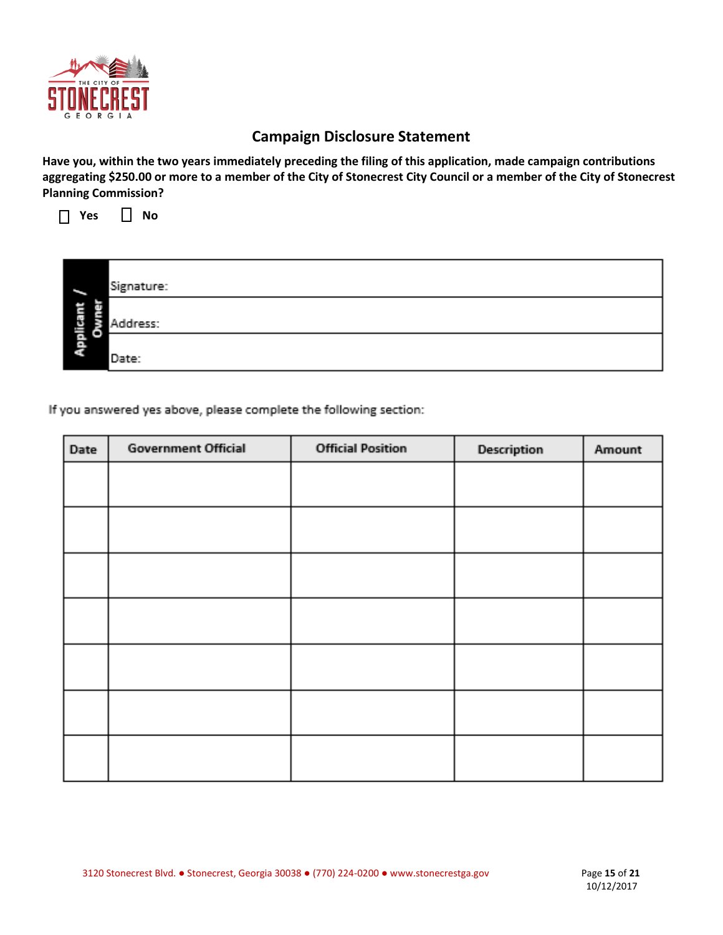

### **Campaign Disclosure Statement**

**Have you, within the two years immediately preceding the filing of this application, made campaign contributions aggregating \$250.00 or more to a member of the City of Stonecrest City Council or a member of the City of Stonecrest Planning Commission?**



| $\mathcal{L}_{\mathcal{L}_{\mathcal{L}}}$ | Signature:                             |
|-------------------------------------------|----------------------------------------|
|                                           | <b>East Address!</b><br>Apple Address! |
|                                           | Date:                                  |

If you answered yes above, please complete the following section:

| Date | <b>Government Official</b> | <b>Official Position</b> | Description | Amount |
|------|----------------------------|--------------------------|-------------|--------|
|      |                            |                          |             |        |
|      |                            |                          |             |        |
|      |                            |                          |             |        |
|      |                            |                          |             |        |
|      |                            |                          |             |        |
|      |                            |                          |             |        |
|      |                            |                          |             |        |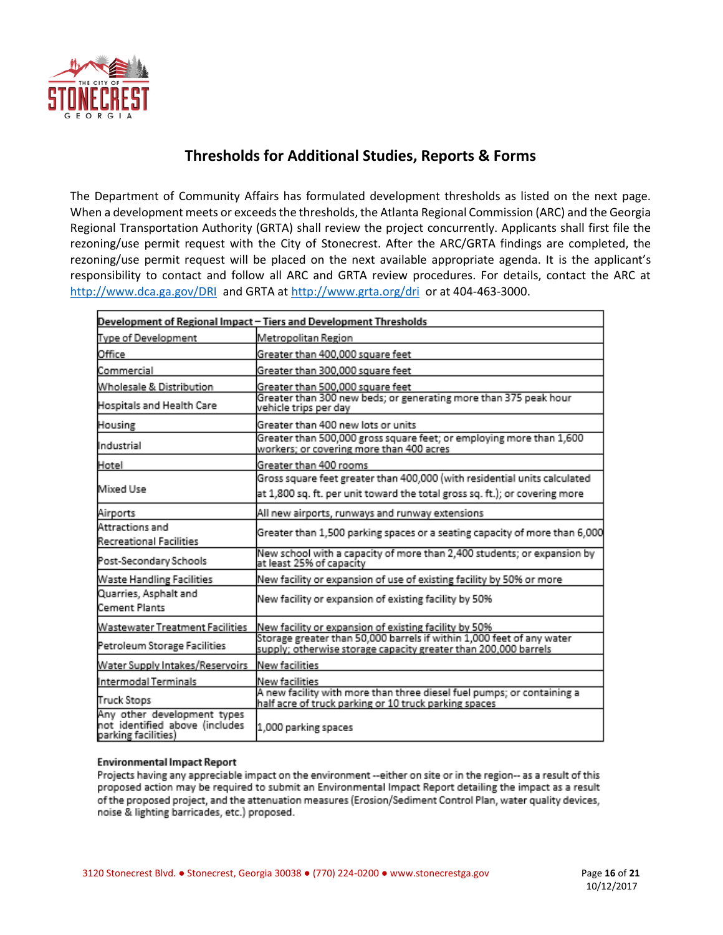

### **Thresholds for Additional Studies, Reports & Forms**

The Department of Community Affairs has formulated development thresholds as listed on the next page. When a development meets or exceeds the thresholds, the Atlanta Regional Commission (ARC) and the Georgia Regional Transportation Authority (GRTA) shall review the project concurrently. Applicants shall first file the rezoning/use permit request with the City of Stonecrest. After the ARC/GRTA findings are completed, the rezoning/use permit request will be placed on the next available appropriate agenda. It is the applicant's responsibility to contact and follow all ARC and GRTA review procedures. For details, contact the ARC at <http://www.dca.ga.gov/DRI> and GRTA a[t http://www.grta.org/dri](http://www.grta.org/dri) or at 404-463-3000.

| Development of Regional Impact - Tiers and Development Thresholds                    |                                                                                                                                          |  |  |
|--------------------------------------------------------------------------------------|------------------------------------------------------------------------------------------------------------------------------------------|--|--|
| Type of Development                                                                  | Metropolitan Region                                                                                                                      |  |  |
| Office                                                                               | Greater than 400,000 square feet                                                                                                         |  |  |
| Commercial                                                                           | Greater than 300,000 square feet                                                                                                         |  |  |
| Wholesale & Distribution                                                             | Greater than 500,000 square feet                                                                                                         |  |  |
| Hospitals and Health Care                                                            | Greater than 300 new beds; or generating more than 375 peak hour<br>vehicle trips per day                                                |  |  |
| Housing                                                                              | Greater than 400 new lots or units                                                                                                       |  |  |
| Industrial                                                                           | Greater than 500,000 gross square feet; or employing more than 1,600<br>workers; or covering more than 400 acres                         |  |  |
| Hotel                                                                                | Greater than 400 rooms                                                                                                                   |  |  |
|                                                                                      | Gross square feet greater than 400,000 (with residential units calculated                                                                |  |  |
| Mixed Use                                                                            | at 1,800 sq. ft. per unit toward the total gross sq. ft.); or covering more                                                              |  |  |
| Airports                                                                             | All new airports, runways and runway extensions                                                                                          |  |  |
| Attractions and                                                                      | Greater than 1,500 parking spaces or a seating capacity of more than 6,000                                                               |  |  |
| Recreational Facilities                                                              |                                                                                                                                          |  |  |
| Post-Secondary Schools                                                               | New school with a capacity of more than 2,400 students; or expansion by<br>at least 25% of capacíty                                      |  |  |
| <b>Waste Handling Facilities</b>                                                     | New facility or expansion of use of existing facility by 50% or more                                                                     |  |  |
| Quarries, Asphalt and<br>Cement Plants                                               | New facility or expansion of existing facility by 50%                                                                                    |  |  |
| Wastewater Treatment Facilities                                                      | New facility or expansion of existing facility by 50%                                                                                    |  |  |
| Petroleum Storage Facilities                                                         | Storage greater than 50,000 barrels if within 1,000 feet of any water<br>supply; otherwise storage capacity greater than 200,000 barrels |  |  |
| Water Supply Intakes/Reservoirs                                                      | New facilities                                                                                                                           |  |  |
| Intermodal Terminals                                                                 | New facilities                                                                                                                           |  |  |
| Truck Stops                                                                          | A new facility with more than three diesel fuel pumps; or containing a<br>half acre of truck parking or 10 truck parking spaces          |  |  |
| Any other development types<br>not identified above (includes<br>parking facilities) | 1,000 parking spaces                                                                                                                     |  |  |

#### **Environmental Impact Report**

Projects having any appreciable impact on the environment --either on site or in the region-- as a result of this proposed action may be required to submit an Environmental Impact Report detailing the impact as a result of the proposed project, and the attenuation measures (Erosion/Sediment Control Plan, water quality devices, noise & lighting barricades, etc.) proposed.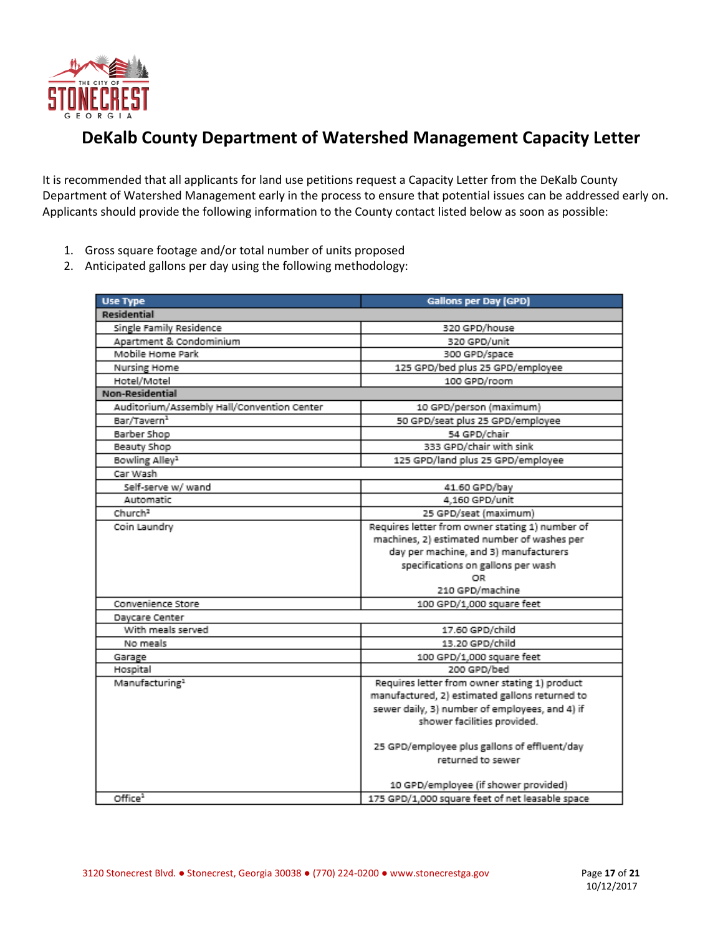

### **DeKalb County Department of Watershed Management Capacity Letter**

It is recommended that all applicants for land use petitions request a Capacity Letter from the DeKalb County Department of Watershed Management early in the process to ensure that potential issues can be addressed early on. Applicants should provide the following information to the County contact listed below as soon as possible:

- 1. Gross square footage and/or total number of units proposed
- 2. Anticipated gallons per day using the following methodology:

| <b>Use Type</b>                            | Gallons per Day (GPD)                                                                   |
|--------------------------------------------|-----------------------------------------------------------------------------------------|
| <b>Residential</b>                         |                                                                                         |
| Single Family Residence                    | 320 GPD/house                                                                           |
| Apartment & Condominium                    | 320 GPD/unit                                                                            |
| Mobile Home Park                           | 300 GPD/space                                                                           |
| Nursing Home                               | 125 GPD/bed plus 25 GPD/employee                                                        |
| Hotel/Motel                                | 100 GPD/room                                                                            |
| Non-Residential                            |                                                                                         |
| Auditorium/Assembly Hall/Convention Center | 10 GPD/person (maximum)                                                                 |
| Bar/Tavern <sup>1</sup>                    | 50 GPD/seat plus 25 GPD/employee                                                        |
| Barber Shop                                | 54 GPD/chair                                                                            |
| Beauty Shop                                | 333 GPD/chair with sink                                                                 |
| Bowling Alley <sup>1</sup>                 | 125 GPD/land plus 25 GPD/employee                                                       |
| Car Wash                                   |                                                                                         |
| Self-serve w/ wand                         | 41.60 GPD/bay                                                                           |
| Automatic                                  | 4,160 GPD/unit                                                                          |
| Church <sup>2</sup>                        | 25 GPD/seat (maximum)                                                                   |
| Coin Laundry                               | Requires letter from owner stating 1) number of                                         |
|                                            | machines, 2) estimated number of washes per                                             |
|                                            | day per machine, and 3) manufacturers                                                   |
|                                            | specifications on gallons per wash                                                      |
|                                            | OR                                                                                      |
|                                            | 210 GPD/machine                                                                         |
| Convenience Store                          | 100 GPD/1,000 square feet                                                               |
| Daycare Center                             |                                                                                         |
| With meals served                          | 17.60 GPD/child                                                                         |
| No meals                                   | 13.20 GPD/child                                                                         |
| Garage                                     | 100 GPD/1,000 square feet                                                               |
| Hospital                                   | 200 GPD/bed                                                                             |
| Manufacturing <sup>1</sup>                 | Requires letter from owner stating 1) product                                           |
|                                            | manufactured, 2) estimated gallons returned to                                          |
|                                            | sewer daily, 3) number of employees, and 4) if                                          |
|                                            | shower facilities provided.                                                             |
|                                            |                                                                                         |
|                                            | 25 GPD/employee plus gallons of effluent/day                                            |
|                                            | returned to sewer                                                                       |
|                                            |                                                                                         |
| Office <sup>1</sup>                        | 10 GPD/employee (if shower provided)<br>175 GPD/1,000 square feet of net leasable space |
|                                            |                                                                                         |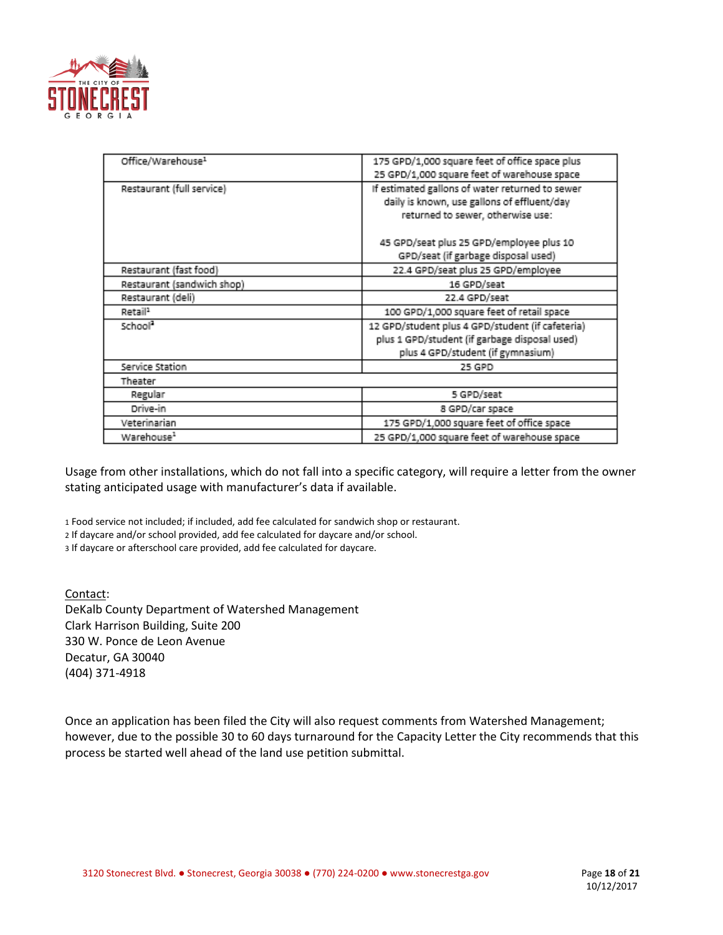

| Office/Warehouse <sup>1</sup> | 175 GPD/1,000 square feet of office space plus   |
|-------------------------------|--------------------------------------------------|
|                               | 25 GPD/1,000 square feet of warehouse space      |
| Restaurant (full service)     | If estimated gallons of water returned to sewer  |
|                               | daily is known, use gallons of effluent/day      |
|                               | returned to sewer, otherwise use:                |
|                               |                                                  |
|                               | 45 GPD/seat plus 25 GPD/employee plus 10         |
|                               |                                                  |
|                               | GPD/seat (if garbage disposal used)              |
| Restaurant (fast food)        | 22.4 GPD/seat plus 25 GPD/employee               |
| Restaurant (sandwich shop)    | 16 GPD/seat                                      |
| Restaurant (deli)             | 22.4 GPD/seat                                    |
| Retail <sup>1</sup>           | 100 GPD/1,000 square feet of retail space        |
| School <sup>2</sup>           | 12 GPD/student plus 4 GPD/student (if cafeteria) |
|                               | plus 1 GPD/student (if garbage disposal used)    |
|                               | plus 4 GPD/student (if gymnasium)                |
| Service Station               | 25 GPD                                           |
| Theater                       |                                                  |
| Regular                       | 5 GPD/seat                                       |
| Drive-in                      | 8 GPD/car space                                  |
| Veterinarian                  | 175 GPD/1,000 square feet of office space        |
| Warehouse <sup>1</sup>        | 25 GPD/1,000 square feet of warehouse space      |

Usage from other installations, which do not fall into a specific category, will require a letter from the owner stating anticipated usage with manufacturer's data if available.

1 Food service not included; if included, add fee calculated for sandwich shop or restaurant.

- 2 If daycare and/or school provided, add fee calculated for daycare and/or school.
- 3 If daycare or afterschool care provided, add fee calculated for daycare.

Contact: DeKalb County Department of Watershed Management Clark Harrison Building, Suite 200 330 W. Ponce de Leon Avenue Decatur, GA 30040 (404) 371-4918

Once an application has been filed the City will also request comments from Watershed Management; however, due to the possible 30 to 60 days turnaround for the Capacity Letter the City recommends that this process be started well ahead of the land use petition submittal.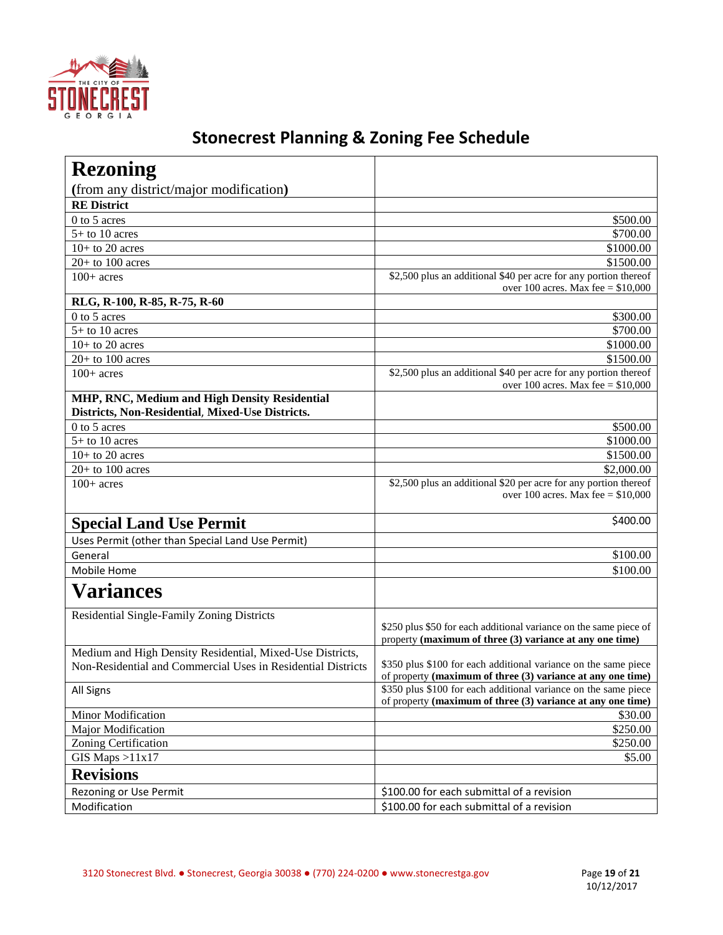

# **Stonecrest Planning & Zoning Fee Schedule**

| <b>Rezoning</b>                                              |                                                                                                                                |
|--------------------------------------------------------------|--------------------------------------------------------------------------------------------------------------------------------|
| (from any district/major modification)                       |                                                                                                                                |
| <b>RE District</b>                                           |                                                                                                                                |
| 0 to 5 acres                                                 | \$500.00                                                                                                                       |
| $5+$ to 10 acres                                             | \$700.00                                                                                                                       |
| $10+$ to 20 acres                                            | \$1000.00                                                                                                                      |
| $20+$ to 100 acres                                           | \$1500.00                                                                                                                      |
| $100+$ acres                                                 | \$2,500 plus an additional \$40 per acre for any portion thereof                                                               |
|                                                              | over 100 acres. Max fee = $$10,000$                                                                                            |
| RLG, R-100, R-85, R-75, R-60                                 |                                                                                                                                |
| 0 to 5 acres                                                 | \$300.00                                                                                                                       |
| $5+$ to 10 acres                                             | \$700.00                                                                                                                       |
| $10+$ to 20 acres                                            | \$1000.00                                                                                                                      |
| $20+$ to 100 acres                                           | \$1500.00                                                                                                                      |
| $100+$ acres                                                 | \$2,500 plus an additional \$40 per acre for any portion thereof<br>over 100 acres. Max fee = $$10,000$                        |
| MHP, RNC, Medium and High Density Residential                |                                                                                                                                |
| Districts, Non-Residential, Mixed-Use Districts.             |                                                                                                                                |
| 0 to 5 acres                                                 | \$500.00                                                                                                                       |
| $5+$ to 10 acres                                             | \$1000.00                                                                                                                      |
| $10+$ to 20 acres                                            | \$1500.00                                                                                                                      |
| $20+$ to 100 acres                                           | \$2,000.00                                                                                                                     |
| $100+$ acres                                                 | \$2,500 plus an additional \$20 per acre for any portion thereof<br>over 100 acres. Max fee = $$10,000$                        |
| <b>Special Land Use Permit</b>                               | \$400.00                                                                                                                       |
| Uses Permit (other than Special Land Use Permit)             |                                                                                                                                |
| General                                                      | \$100.00                                                                                                                       |
| Mobile Home                                                  | \$100.00                                                                                                                       |
| <b>Variances</b>                                             |                                                                                                                                |
| Residential Single-Family Zoning Districts                   | \$250 plus \$50 for each additional variance on the same piece of<br>property (maximum of three (3) variance at any one time)  |
| Medium and High Density Residential, Mixed-Use Districts,    |                                                                                                                                |
| Non-Residential and Commercial Uses in Residential Districts | \$350 plus \$100 for each additional variance on the same piece<br>of property (maximum of three (3) variance at any one time) |
| All Signs                                                    | \$350 plus \$100 for each additional variance on the same piece<br>of property (maximum of three (3) variance at any one time) |
| Minor Modification                                           | \$30.00                                                                                                                        |
| <b>Major Modification</b>                                    | \$250.00                                                                                                                       |
| <b>Zoning Certification</b>                                  | \$250.00                                                                                                                       |
| GIS Maps $>11x17$                                            | \$5.00                                                                                                                         |
| <b>Revisions</b>                                             |                                                                                                                                |
| Rezoning or Use Permit                                       | \$100.00 for each submittal of a revision                                                                                      |
| Modification                                                 | \$100.00 for each submittal of a revision                                                                                      |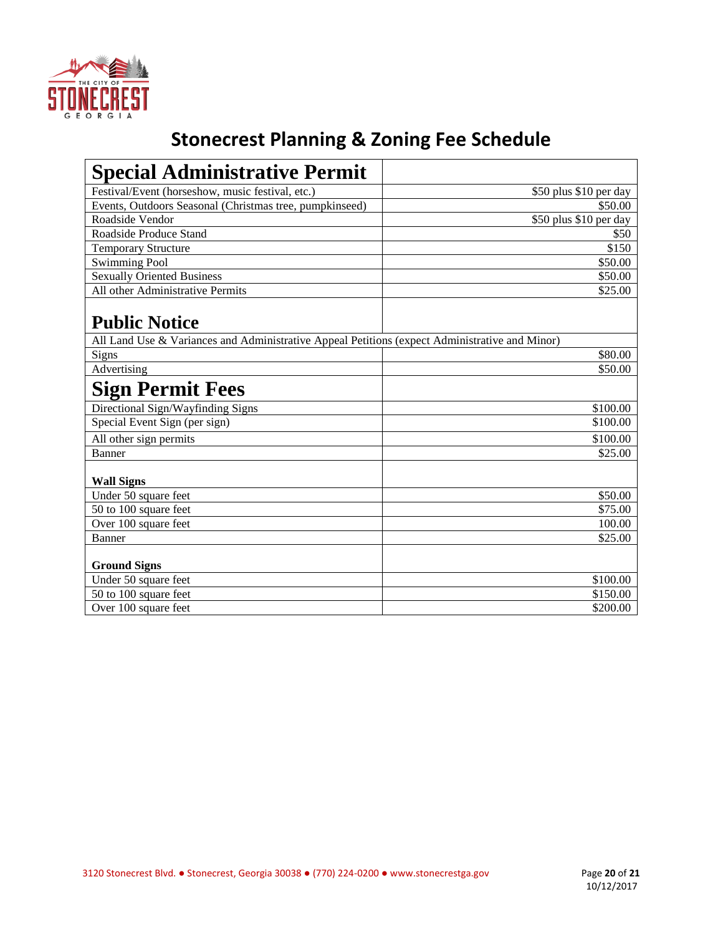

# **Stonecrest Planning & Zoning Fee Schedule**

| <b>Special Administrative Permit</b>                                                           |                        |
|------------------------------------------------------------------------------------------------|------------------------|
| Festival/Event (horseshow, music festival, etc.)                                               | \$50 plus \$10 per day |
| Events, Outdoors Seasonal (Christmas tree, pumpkinseed)                                        | \$50.00                |
| Roadside Vendor                                                                                | \$50 plus \$10 per day |
| Roadside Produce Stand                                                                         | \$50                   |
| <b>Temporary Structure</b>                                                                     | \$150                  |
| <b>Swimming Pool</b>                                                                           | \$50.00                |
| Sexually Oriented Business                                                                     | \$50.00                |
| All other Administrative Permits                                                               | \$25.00                |
| <b>Public Notice</b>                                                                           |                        |
| All Land Use & Variances and Administrative Appeal Petitions (expect Administrative and Minor) |                        |
| Signs                                                                                          | \$80.00                |
| Advertising                                                                                    | \$50.00                |
| <b>Sign Permit Fees</b>                                                                        |                        |
| Directional Sign/Wayfinding Signs                                                              | \$100.00               |
| Special Event Sign (per sign)                                                                  | \$100.00               |
| All other sign permits                                                                         | \$100.00               |
| Banner                                                                                         | \$25.00                |
| <b>Wall Signs</b>                                                                              |                        |
| Under 50 square feet                                                                           | \$50.00                |
| 50 to 100 square feet                                                                          | \$75.00                |
| Over 100 square feet                                                                           | 100.00                 |
| <b>Banner</b>                                                                                  | \$25.00                |
| <b>Ground Signs</b>                                                                            |                        |
| Under 50 square feet                                                                           | \$100.00               |
| 50 to 100 square feet                                                                          | \$150.00               |
| Over 100 square feet                                                                           | \$200.00               |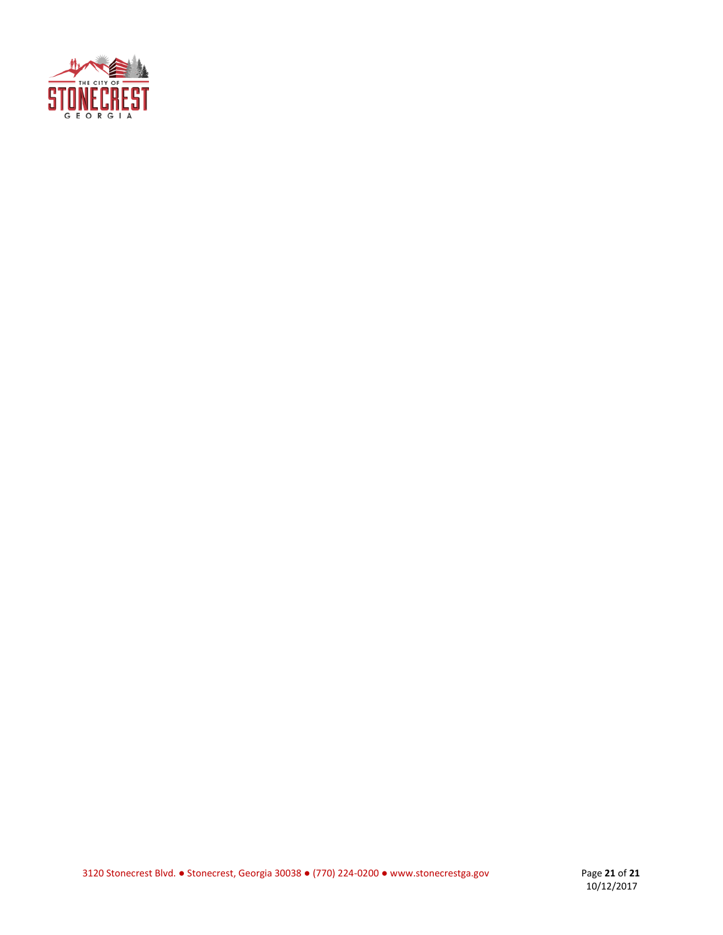